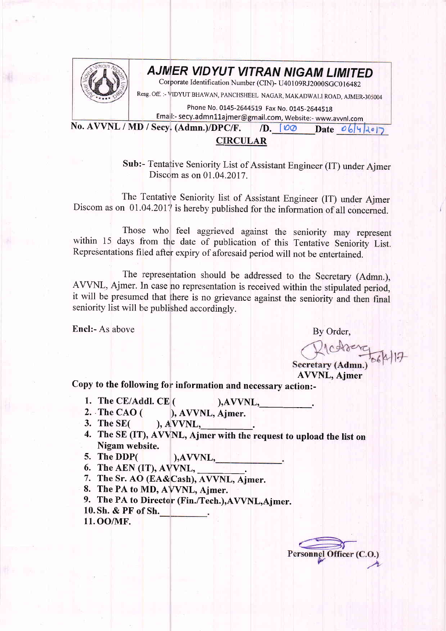

## **AJMER VIDYUT VITRAN NIGAM LIMITED**

Corporate Identification Number (CIN)- U40109RJ2000SGC016482

Resg. Off. :- VIDYUT BHAWAN, PANCHSHEEL NAGAR, MAKADWALI ROAD, AJMER-305004

Phone No. 0145-2644519 Fax No. 0145-2644518

Email:- secy.admn11ajmer@gmail.com, Website:- www.avvnl.com

No. AVVNL / MD / Secy. (Admn.)/DPC/F. (D.  $\Box$  O Date o 6/4/2017)

## **CIRCULAR**

Sub:- Tentative Seniority List of Assistant Engineer (IT) under Ajmer Discom as on 01.04.2017.

The Tentative Seniority list of Assistant Engineer (IT) under Ajmer Discom as on 01.04.2017 is hereby published for the information of all concerned.

Those who feel aggrieved against the seniority may represent within 15 days from the date of publication of this Tentative Seniority List. Representations filed after expiry of aforesaid period will not be entertained.

The representation should be addressed to the Secretary (Admn.), AVVNL, Ajmer. In case no representation is received within the stipulated period, it will be presumed that there is no grievance against the seniority and then final seniority list will be published accordingly.

Encl:- As above By Order,

Richter<br>Secretary (Admn.)<br>AVVNL, Ajmer

Copy to the following for information and necessary action:-

- 1. The CE/Addl. CE  $($  ), AVVNL,
- 2. The CAO (  $\begin{array}{lll} \text{(} & \text{),AVVNL}, \\ \text{(} & \text{), AVVNL}, \text{Ajmer.} \end{array}$
- **3. The SE(**  $A$ ,  $A$  VVNL,
- 4. The SE (IT), AVVNL, Ajmer with the request to upload the list on Nigam website.
- 5. The DDP( ), AVVNL,<br>6. The AEN (IT), AVVNL,
- 
- 7. The Sr. AO (EA&Cash), AVVNL, Ajmer.
- 8. The PA to MD, AVVNL, Ajmer.
- 9. The PA to Director (Fin./Tech.), AVVNL, Ajmer.
- 10. Sh. & PF of Sh.
- 11. OO/MF.

Personnel Officer (C.C